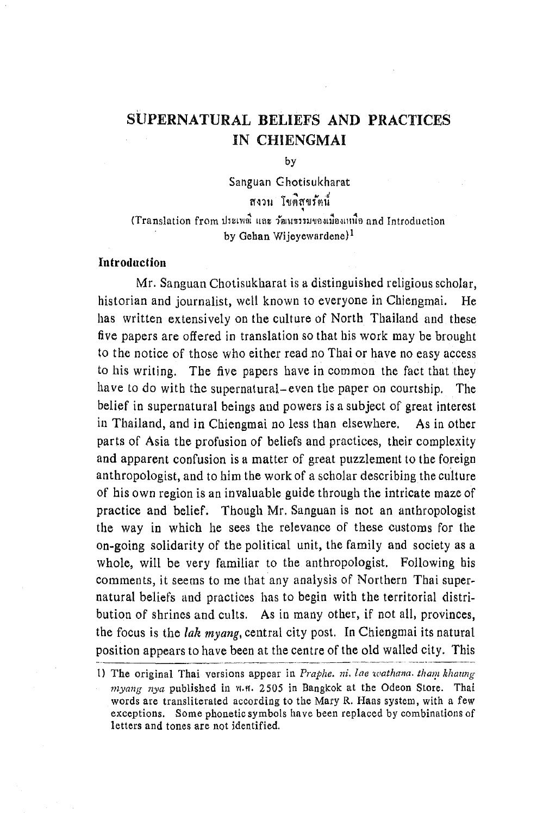# SlJPERNATURAL BELIEFS AND PRACTICES IN CHIENGMAI

by

Sanguan Ghotisukharat

ี สงวน โซคิสุขร*ั*ตน์ (Translation from ประเพณี และ วัฒนธรรมของเมืองเหนือ and Introduction by Gehan Wijeyewardene) <sup>1</sup>

## **Introduction**

Mr. Sanguan Chotisukharat is a distinguished religious scholar, historian and journalist, well known to everyone in Chiengmai. He has written extensively on the culture of North Thailand and these five papers are offered in translation so that his work may be brought to the notice of those who either read no Thai or have no easy access to his writing. The five papers have in common the fact that they have to do with the supernatural-even the paper on courtship. The belief in supernatural beings and powers is a subject of great interest in Thailand, and in Chiengmai no less than elsewhere. As in other parts of Asia the profusion of beliefs and practices, their complexity and apparent confusion is a matter of great puzzlement to the foreign anthropologist, and to him the work of a scholar describing the culture of his own region is an invaluable guide through the intricate maze of practice and belief. Though Mr. Sanguan is not an anthropologist the way in which he sees the relevance of these customs for the on-going solidarity of the political unit, the family and society as a whole, will be very familiar to the anthropologist. Following his comments, it seems to me that any analysis of Northern Thai supernatural beliefs and practices has to begin with the territorial distribution of shrines and cults. As in many other, if not all, provinces, the focus is the *lak myang,* central city post. In Chiengmai its natural position appears to have been at the centre of the old walled city. This

<sup>1)</sup> The original Thai versions appear in *Praphe. ni. lae wathana. tham khaung*  $myang$   $nya$  published in w.w. 2505 in Bangkok at the Odeon Store. Thai words are transliterated according to the Mary R. Haas system, with a few exceptions. Some phonetic symbols have been replaced by combinations of letters and tones are not identified.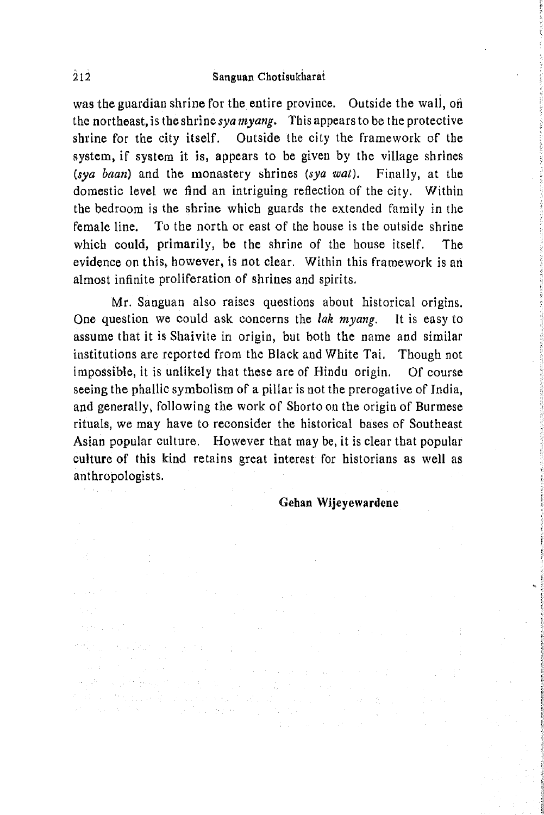was the guardian shrine for the entire province. Outside the wall, on the northeast, is the shrine sya myang. This appears to be the protective shrine for the city itself. Outside the city the framework of the system, if system it is, appears to be given by the village shrines (sya baan) and the monastery shrines (sya wat). Finally, at the domestic level we find an intriguing reflection of the city. Within the bedroom is the shrine which guards the extended family in the female line. To the north or east of the house is the outside shrine which could, primarily, be the shrine of the house itself. The evidence on this, however, is not clear. Within this framework is an almost infinite proliferation of shrines and spirits.

Mr. Sanguan also raises questions about historical origins. One question we could ask concerns the *lak* myang. It is easy to assume that it is Shaivite in origin, but both the name and similar institutions are reported from the Black and White Tai. Though not impossible, it is unlikely that these are of Hindu origin. Of course seeing the phallic symbolism of a pillar is not the prerogative of India, and generally, following the work of Sborto on the origin of Burmese rituals, we may have to reconsider the historical bases of Southeast Asian popular culture. However that may be, it is clear that popular culture of this kind retains great interest for historians as well as anthropologists.

and the second control of the second control of the second control of the second control of the second control of the second control of the second control of the second control of the second control of the second control o

### Geban Wijeyewardene

and the same of the same state

 $\eta_{\rm{eff}}$  .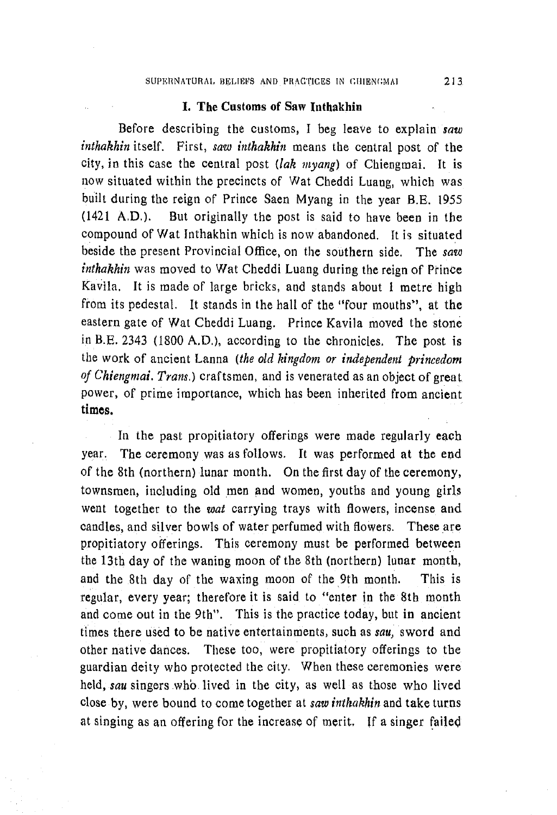## I. The Customs of Saw Inthakhin

Before describing the customs, I beg leave to explain *saw inthakhin* itself. First, *saw inthakhin* means the central post of the city, in this case the central post *(/ak myang)* of Chiengmai. It is now situated within the precincts of Wat Cheddi Luang, which was built during the reign of Prince Saen Myang in the year B.E. 1955 (1421 A.D.). But originally the post is said to have been in the compound of Wat Inthakhin which is now abandoned. It is situated beside the present Provincial Office, on the southern side. The *saw inthakhin* was moved to Wat Cheddi Luang during the reign of Prince Kavila. It is made of large bricks, and stands about 1 metre high from its pedestal. It stands in the hall of the ''four mouths'', at the eastern gate of Wat Cheddi Luang. Prince Kavila moved the stone in B.E. 2343 (1800 A.D.), according to the chronicles. The post is the work of ancient Lanna *(the old kingdom or independent princedom of Chiengmai. Trans.*) craftsmen, and is venerated as an object of great. power, of prime importance, which has been inherited from ancient times.

In the past propitiatory offerings were made regularly each year. The ceremony was as follows. It was performed at the end of the 8th (northern) lunar month. On the first day of the ceremony, townsmen, including old men and women, youths and young girls went together to the *wat* carrying trays with flowers, incense and candles, and silver bowls of water perfumed with flowers. These are propitiatory offerings. This ceremony must be performed between the 13th day of the waning moon of the 8th (northern) lunar month, and the 8th day of the waxing moon of the 9th month. This is regular, every year; therefore it is said to "enter in the 8th month and come out in the 9th". This is the practice today, but in ancient times there used to be native entertainments, such as *sau,* sword and other native dances. These too, were propitiatory offerings to the guardian deity who protected the city. When these ceremonies were held, *sau* singers who lived in the city, as well as those who lived close by, were bound to come together at *saw inthakhin* and take turns at singing as an offering for the increase of merit. lf a singer failed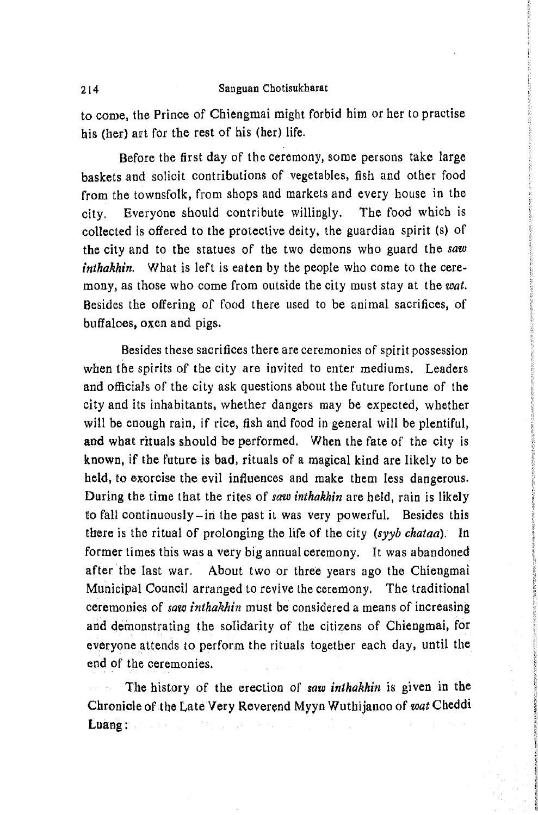to come, the Prince of Chiengmai might forbid him or her to practise his (her) art for the rest of his (her) life.

Before the first day of the ceremony, some persons take large baskets and solicit contributions of vegetables, fish and other food from the townsfolk, from shops and markets and every house in the city. Everyone should contribute willingly. The food which is collected is offered to the protective deity, the guardian spirit (s) of the city and to the statues of tbe two demons who guard the *saw inthakhin.* What is left is eaten by the people who come to the ceremony, as those who come from outside the city must stay at the *wat.*  Besides the offering of food there used to be animal sacrifices, of buffaloes, oxen and pigs.

Besides these sacrifices there are ceremonies of spirit possession when the spirits of the city are invited to enter mediums. Leaders and officials of the city ask questions about the future fortune of the city and its inhabitants, whether dangers may be expected, whether will be enough rain, if rice, fish and food in general will be plentiful, and what rituals should be performed. When the fate of the city is known, if the future is bad, rituals of a magical kind are likely to be held, to exorcise the evil influences and make them less dangerous. During the time that the rites of *saw inthakhin* are held, rain is likely to fall continuously-in the past it was very powerful. Besides this there is the ritual of prolonging the life of the city *(syyb chataa).* In former times this was a very big annual ceremony. It was abandoned after the last war. About two or three years ago the Chiengmai Municipal Council arranged to revive the ceremony. The traditional ceremonies of *saw inthakhin* must be considered a means of increasing and demonstrating the solidarity of the citizens of Chiengmai, for everyone attends to perform the rituals together each day, until the end of the ceremonies.

The history of the erection of *saw inthakhin* is given in the Chronicle of the Late Very Reverend Myyn Wuthijanoo of wat Cheddi Luang: **Luang:**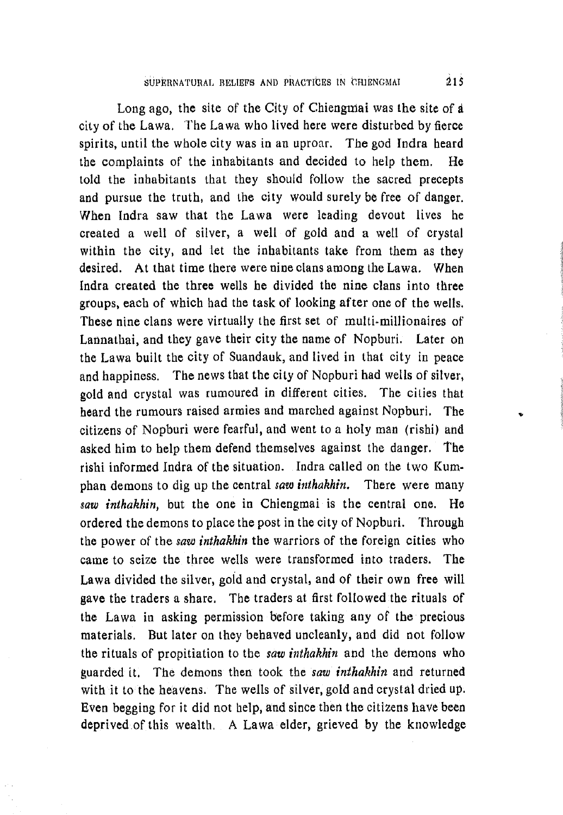Long ago, the site of the City of Chiengmai was the site of a city of the Lawa. The Lawa who lived here were disturbed by fierce spirits, until the whole city was in an uproar. The god Indra beard the complaints of the inhabitants and decided to help them. He told the inhabitants that they should follow the sacred precepts and pursue the truth, and the city would surely be free of danger. When Indra saw that the Lawa were leading devout lives be created a well of silver, a well of gold and a well of crystal within the city, and let the inhabitants take from them as they desired. At that time there were nine clans among the Lawa. When lndra created the three wells he divided the nine clans into three groups, each of which had the task of looking after one of the wells. These nine clans were virtually the first set of multi-millionaires of Lannatbai, and they gave their city the name of Nopburi. Later on the Lawa built the city of Suandauk, and lived in that city in peace and happiness. The news that the city of Nopburi had wells of silver, gold and crystal was rumoured in different cities. The cities that heard the rumours raised armies and marched against Nopburi. The citizens of Nopburi were fearful, and went to a holy man (rishi) and asked him to help them defend themselves against the danger. The rishi informed Indra of the situation. Indra called on the two Kumphan demons to dig up the central *saw inthakhin.* There were many *saw inthakhin,* but the one in Chiengmai is the central one. He ordered the demons to place the post in the city of Nopburi. Through the power of the *saw inthakhin* the warriors of the foreign cities who came to seize the three wells were transformed into traders. The Lawa divided the silver, gold and crystal, and of their own free will gave the traders a share. The traders at first followed the rituals of the Lawa in asking permission before taking any of the precious materials. But later on they behaved uncleanly, and did not follow the rituals of propitiation to the *saw inthakhin* and the demons who guarded it. The demons then took the *saw inthakhin* and returned with it to the heavens. The wells of silver, gold and crystal dried up. Even begging for it did not help, and since then the citizens have been deprived of this wealth. A Lawa elder, grieved by the knowledge

..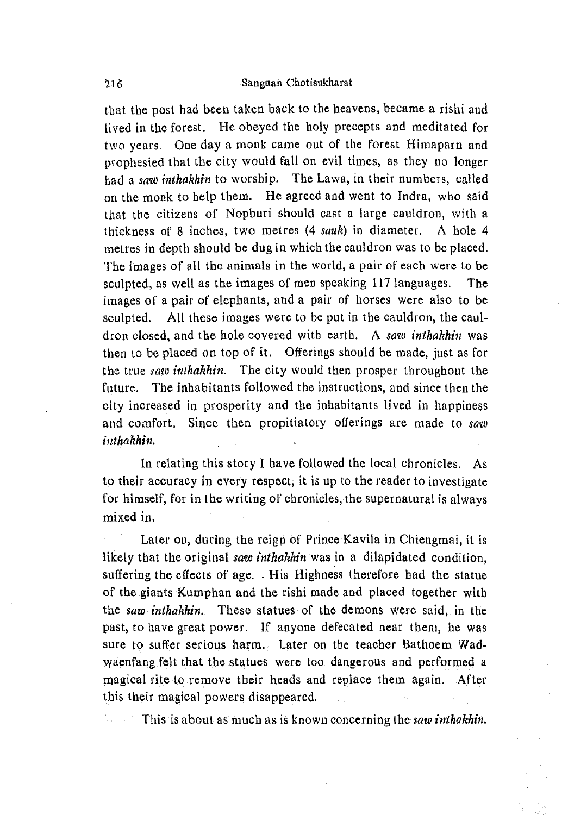that the post had been taken back to the heavens, became a rishi and lived in the forest. He obeyed the holy precepts and meditated for two years. One day a monk came out of the forest Himaparn and prophesied that the city would fall on evil times, as they no longer had a *saw inthakhin* to worship. The Lawa, in their numbers, called on the monk to help them. He agreed and went to Indra, who said that the citizens of Nopburi should cast a large cauldron, with a thickness of 8 inches, two metres (4 *sauk)* in diameter. A hole 4 metres in depth should be dug in which the cauldron was to be placed. The images of all the animals in the world, a pair of each were to be sculpted, as well as the images of men speaking 117 languages. The images of a pair of elephants, and a pair of horses were also to be sculpted. All these images were to be put in the cauldron, the cauldron closed, and the hole covered with earth. A *saw inthakhin* was then to be placed on top of it. Offerings should be made, just as for the true *saw inthakhin.* The city would then prosper throughout the future. The inhabitants followed the instructions, and since then the city increased in prosperity and the inhabitants lived in happiness and comfort. Since then propitiatory offerings are made to *saw inthakhin.* 

In relating this story I have followed the local chronicles. As to their accuracy in every respect; it is up to the reader to investigate for himself, for in the writing of chronicles, the supernatural is always mixed in.

Later on, during the reigp of Prince Kavila in Chiengmai, it is likely that the original *saw inthakhin* was in a dilapidated condition, suffering the effects of age. His Highness therefore had the statue of the giants Kumpban and the rishi made and placed together with the *saw inthakhin..* These statues of the demons were said, in the past, to have great power. If anyone defecated near tbem, he was sure to suffer serious harm. Later on the teacher Bathoem Wadwaenfang felt that the statues were too dangerous and performed a magical rite to remove their beads and replace them again. After this their magical powers disappeared.

**This is about as much as is known concerning the** *saw inthakhin***.**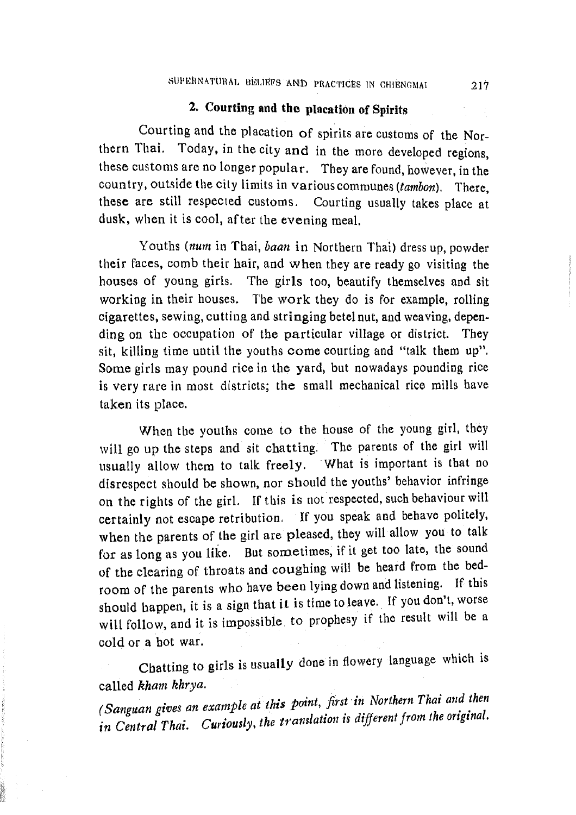# 2. Courting and the placation of Spirits

Courting and the placation of spirits are customs of the Northern Thai. Today, in the city and in the more developed regions, these customs are no longer popular. They are found, however, in the country, outside the city limits in various communes *(tambon).* There, these are still respected customs. Courting usually takes place at dusk, when it is cool, after the evening meal.

Youths *(num* in Thai, *baan* in Northern Thai) dress up, powder their faces, comb their hair, and when they are ready go visiting the houses of young girls. The girls too, beautify themselves and sit working in their houses. The work they do is for example, rolling cigarettes, sewing, cutting and stringing betel nut, and weaving, depending on the occupation of the particular village or district. They sit, killing time until the youths come courting and "talk them up". Some girls may pound rice in the yard, but nowadays pounding rice is very rare in most districts; the small mechanical rice mills have taken its place.

When the youths come to the house of the young girl, they will go up the steps and sit chatting. The parents of the girl will usually allow them to talk freely. What is important is that no disrespect should be shown, nor should the youths' behavior infringe on the rights of the girl. If this is not respected, such behaviour will certainly not escape retribution. If you speak and behave politely, when the parents of the girl are pleased, they will allow you to talk for as long as you like. But sometimes, if it get too late, the sound of the clearing of throats and coughing will be heard from the bedroom of the parents who have been lying down and listening. If this should happen, it is a sign that it is time to leave. If you don't, worse will follow, and it is impossible to prophesy if the result will be a cold or a hot war.

Chatting to girls is usually done in flowery language which is called *kham khrya.* 

*(Sanguan gives an example at this point, first in Northern Thai and then* in Central Thai. Curiously, the translation is different from the original.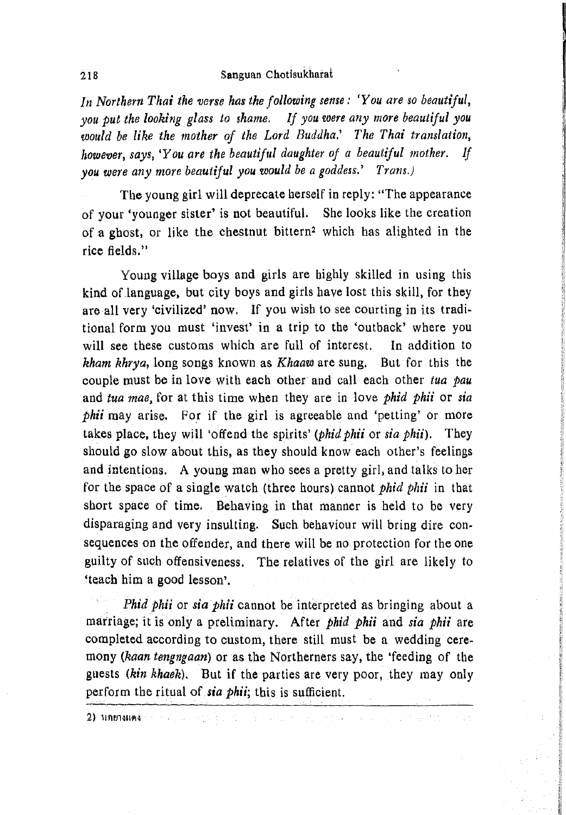**I I**  $\frac{1}{2}$ 

*In Northern Thai the verse has the following sense: 'You are so beautiful, you put the looking glass to shame. If you were any more beautiful you would be like the mother of the Lord Buddha.' The Thai translation, however, says, 'You are the beautiful daughter of a beautiful mother. If you were any more beautiful you would be* a *goddess.' Trans.)* 

The young girl will deprecate herself in reply: "The appearance of your 'younger sister' is not beautiful. She looks like the creation of a ghost, or like the chestnut bittern2 which has alighted in the rice fields."

Young village boys and girls are highly skilled in using this kind of language, but city boys and girls have lost this skill, for they are all very 'civilized' now. If you wish to see courting in its traditional form you must 'invest' in a trip to the 'outback' where you will see these customs which are full of interest. In addition to *kham khrya,* long songs known as *Khaaw* are sung. But for this the couple must be in love with each other and call each other *tua pau*  and *tua mae,* for at this time when they are in love *phid phii* or *sia phii* may arise. For if the girl is agreeable and 'petting' or more takes place, they will 'offend the spirits' *(phid phii* or *sia phii).* They should go slow about this, as they should know each other's feelings and intentions. A young man who sees a pretty girl, and talks to her for the space of a single watch (three hours) cannot *phid phii* in that short space of time. Behaving in that manner is held to be very disparaging and very insulting. Such behaviour will bring dire consequences on the offender, and there will be no protection for the one guilty of such offensiveness. The relatives of the girl are likely to 'teach him a good lesson'.

*Phid phii or sia phii* cannot be interpreted as bringing about a marriage; it is only a preliminary. After *phid phii* and *sia phii* are completed according to custom, there still must be a wedding ceremony *(kaan tengngaan)* or as the Northerners say, the •feeding of the guests *(kin khaek).* But if the parties are very poor, they may only perform the ritual of *sia phii;* this is sufficient.

 $2)$  line number  $\sim$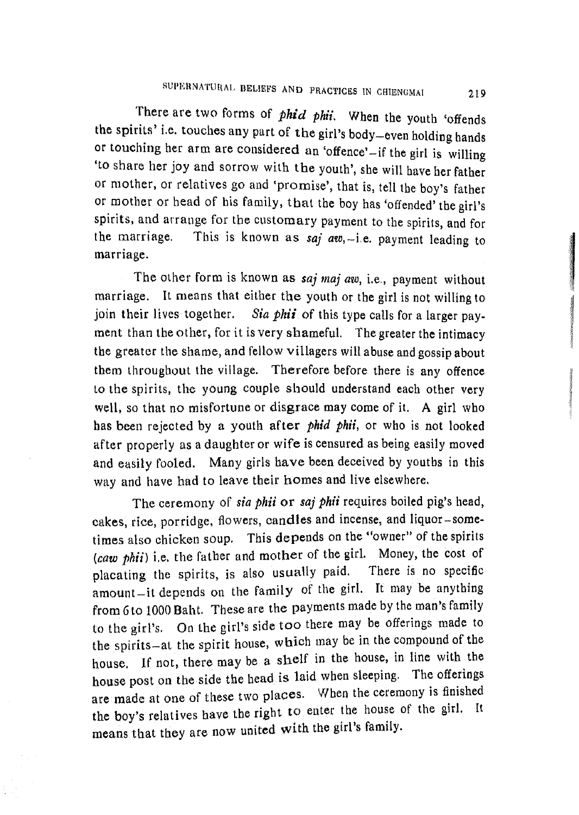There are two forms of phid phii. When the youth 'offends the spirits' i.e. touches any part of the girl's body-even holding hands or touching her arm are considered an 'offence'-if the girl is willing 'to share her joy and sorrow with the youth', she will have her father or mother, or relatives go and 'promise', that is, tell the boy's father or mother or bead of bis family, tbat the boy has 'offended' the girl's spirits, and arrange for the customary payment to the spirits, and for the marriage. This is known as *saj aw,-i.e.* payment leading to marriage.

The other form is known as *saj maj aw,* i.e., payment without marriage. It means that either the youth or the girl is not willing to join their lives together. Sia phii of this type calls for a larger payment than the other, for it is very shameful. The greater the intimacy the greater the shame, and fellow villagers will abuse and gossip about them throughout the village. Therefore before there is any offence to the spirits, the young couple should understand each other very well, so that no misfortune or disgrace may come of it. A girl who has been rejected by a youth after *phid phii*, or who is not looked after properly as a daughter or wife is censured as being easily moved and easily fooled. Many girls have been deceived by youths in this way and have bad to leave their homes and live elsewhere.

The ceremony of *sia phii* or *saj phii* requires boiled pig's head, cakes, rice, porridge, flowers, candles and incense, and liquor-sometimes also chicken soup. This depends on the "owner" of the spirits *(caw phii)* i.e. the father and mother of the girl. Money, the cost of placating the spirits, is also usually paid. There is no specific amount-it depends on the family of the girl. It may be anything from 6to 1000 Baht. These are the payments made by the man's family to the girl's. On the girl's side too there may be offerings made to the spirits-at the spirit house, which may be in the compound of the house. If not, there may be a shelf in the house, in line with the house post on the side the bead is laid when sleeping. The offerings are made at one of these two places. When the ceremony is finished the boy's relatives have the right to enter the house of the girl. It means that they are now united with the girl's family.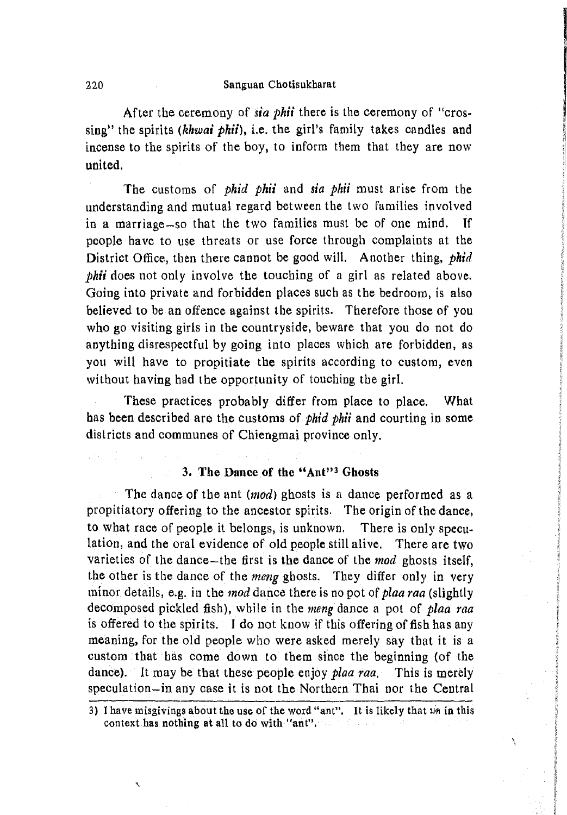After the ceremony of *sia phii* there is the ceremony of "crossing" the spirits *(khwai phii),* i.e. the girl's family takes candles and incense to the spirits of the boy, to inform them that they are now united.

The customs of phid phii and *sia* phii must arise from the understanding and mutual regard between the two families involved in a marriage-so that the two families must be of one mind. If people have to use threats or use force through complaints at the District Office, then there cannot be good will. Another thing, phid phii does not only involve the touching of a girl as related above. Going into private and forbidden places such as the bedroom, is also believed to be an offence against the spirits. Therefore those of you who go visiting girls in the countryside, beware that you do not do anything disrespectful by going into places which are forbidden, as you will have to propitiate the spirits according to custom, even without having had the opportunity of touching the girl.

These practices probably differ from place to place. What has been described are the customs of *phid phii* and courting in some districts and communes of Chiengmai province only.

## 3. The Dance of the "Ant"<sup>3</sup> Ghosts

The dance of the ant (*mod*) ghosts is a dance performed as a propitiatory offering to the ancestor spirits. The origin of the dance, to what race of people it belongs, is unknown. There is only speculation, and the oral evidence of old people still alive. There are two varieties of the dance-the first is the dance of the mod ghosts itself, the other is the dance of the *meng* ghosts. They differ only in very minor details, e.g. in the *mod* dance there is no pot of *plaa raa* (slightly decomposed pickled fish), while in the *meng* dance a pot of *plaa raa*  is offered to the spirits. I do not know if this offering of fish has any meaning, for the old people who were asked merely say that it is a custom tbat has come down to tbem since the beginning (of the dance). It may be that these people enjoy *plaa raa*. This is merely speculation-in any case it is not the Northern Thai nor the Central

\

<sup>3)</sup> I have misgivings about the use of the word "ant". It is likely that un in this context has nothing at all to do with "ant".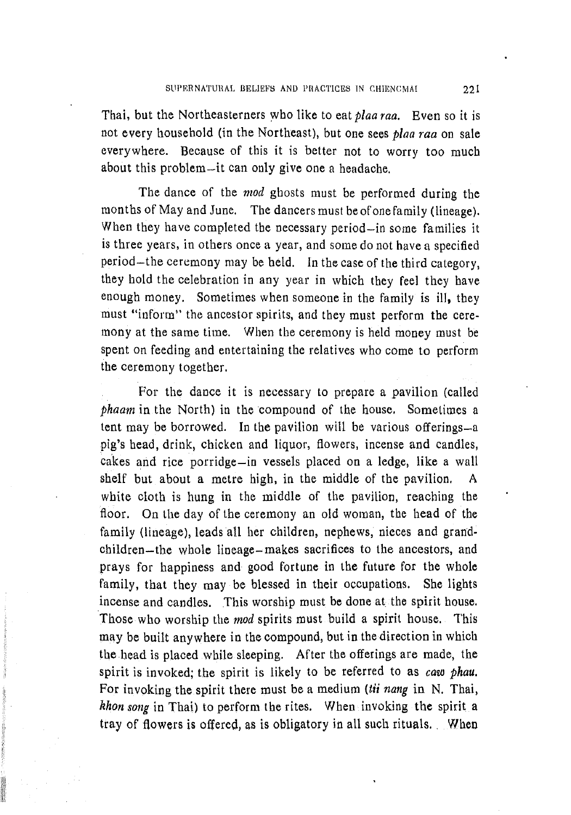Thai, but the Northeasterners who like to eat *p/aa raa.* Even so it is not every household (in the Northeast), but one sees *p/aa raa* on sale everywhere. Because of this it is better not to worry too much about this problem-it can only give one a headache.

The dance of the *mod* ghosts must be performed during the months of May and June. The dancers must be of one family (lineage). When they have completed the necessary period-in some families it is three years, in others once a year, and some do not have a specified period-the ceremony may be held. In the case of the third category, they hold the celebration in any year in which they feel they have enough money. Sometimes when someone in the family is ill, they must "inform" the ancestor spirits, and they must perform the ceremony at the same time. When the ceremony is held money must be spent on feeding and entertaining the relatives who come to perform the ceremony together.

For the dance it is necessary to prepare a pavilion (called *phaam* in the North) in the compound of the house. Sometimes a tent may be borrowed. In the pavilion will be various offerings-a pig's head, drink, chicken and liquor, flowers, incense and candles, cakes and rice porridge-in vessels placed on a ledge, like a wall shelf but about a metre high, in the middle of the pavilion. A white cloth is hung in the middle of the pavilion, reaching the floor. On the day of the ceremony an old woman, the head of the family (lineage), leads all her children, nephews, nieces and grandchildren-the whole lineage-makes sacrifices to the ancestors, and prays for happiness and good fortune in the future for the whole family, that they may be blessed in their occupations. She lights incense and candles. This worship must be done at the spirit house. Those who worship the mod spirits must build a spirit house. This may be built anywhere in the compound, but in the direction in which the head is placed while sleeping. After the offerings are made, the spirit is invoked; the spirit is likely to be referred to as *caw phau.*  For invoking the spirit there must be a medium (tii *nang* in N. Thai, *khon song* in Thai) to perform the rites. When invoking the spirit a tray of flowers is offered, as is obligatory in all such rituals. When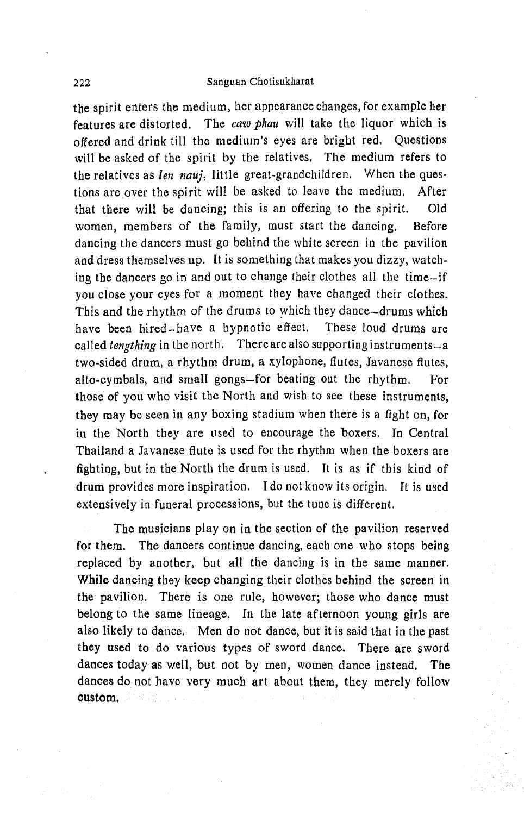#### 222 Sanguan Chotisukharat

the spirit enters tbe medium, her appearance changes, for example her features are distorted. The *caw phau* will take the liquor which is offered and drink till the medium's eyes are bright red. Questions will be asked of the spirit by the relatives. The medium refers to the relatives as *len nauj,* little great-grandchildren. When the questions are over the spirit will be asked to leave the medium. After that there will be dancing; this is an offering to the spirit. Old women, members of the family, must start the dancing. Before dancing the dancers must go behind the white screen in the pavilion and dress themselves up. It is something that makes you dizzy, watching the dancers go in and out to change their clothes all the time-if you close your eyes for a moment they have changed their clothes. This and the rhythm of the drums to which they dance-drums which have been hired- have a hypnotic effect. These loud drums are called *tengthing* in the north. There are also supporting instruments-a two-sided drum, a rhythm drum, a xylophone, flutes, Javanese flutes, alto-cymbals, and small gongs-for beating out the rhythm. For those of you who visit the North and wish to see these instruments, they may be seen in any boxing stadium when there is a fight on, for in the North they are used to encourage the boxers. In Central Thailand a Javanese flute is used for the rhythm when the boxers are fighting, but in the North the drum is used. It is as if this kind of drum provides more inspiration. I do not know its origin. It is used extensively in funeral processions, but the tune is different.

The musicians play on in the section of the pavilion reserved for them. The dancers continue dancing, each one who stops being replaced by another, but all the dancing is in the same manner. While dancing they keep changing their clothes behind the screen in the pavilion. There is one rule, however; those who dance must belong to the same lineage. In the late afternoon young girls are also likely to dance. Men do not dance, but it is said that in the past they used to do various types of sword dance. There are sword dances today as well, but not by men, women dance instead. The dances do not have very much art about them, they merely follow custom.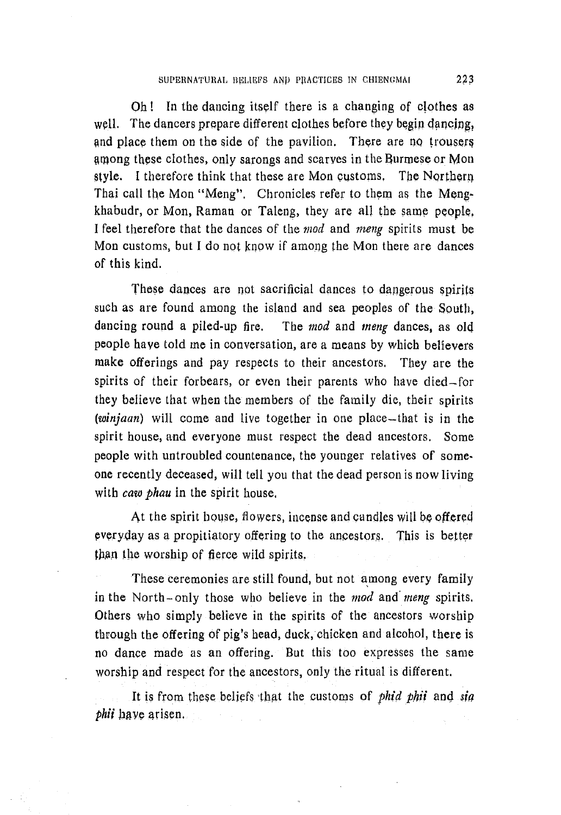$Oh!$  In the dancing itself there is a changing of clothes as well. The dancers prepare different clothes before they begin dancing, and place them on the side of the pavilion. There are no trousers among these clothes, only sarongs and scarves in the Burmese or Mon style. I therefore think that these are Mon customs. The Northern Thai call the Mon "Meng". Chronicles refer to them as the Mengkhabudr, or Mon, Raman or Taleng, they are all the same people, I feel therefore that the dances of the *mod* and *meng* spirits must be Mon customs, but I do not know if among the Mon there are dances of this kind.

These dances are not sacrificial dances to dangerous spirits such as are found among the island and sea peoples of the South, dancing round a piled-up fire. The *mod* and *meng* dances, as old people have told me in conversation, are a means by which believers make offerings and pay respects to their ancestors. They are the spirits of their forbears, or even their parents who have died-for they believe that when the members of the family die, their spirits *(winjaan)* will come and live together in one place-that is in the spirit house, and everyone must respect the dead ancestors. Some people with untroubled countenance, the younger relatives of someone recently deceased, will tell you that the dead person is now living with *caw phau* in the spirit bouse.

At the spirit house, flowers, incense and candles will be offered everyday as a propitiatory offering to the ancestors. This is better than the worship of fierce wild spirits.

These ceremonies are still found, but not among every family in the North-only those who believe in the *mod* and *meng* spirits. Others who simply believe in the spirits of the ancestors worship through the offering of pig's head, duck, chicken and alcohol, there is no dance made as an offering. But this too expresses the same worship and respect for the ancestors, only the ritual is different.

It is from these beliefs that the customs of *phid phii* and *sia phii* have arisen.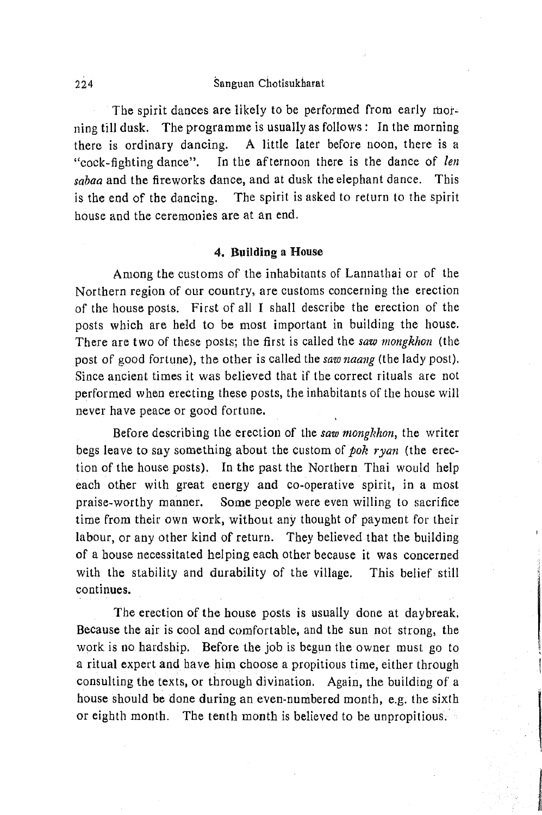## 224 Sanguan Chotisukharat

The spirit dances are likely to be performed from early morning till dusk. The programme is usually as follows: In the morning there is ordinary dancing. A little later before noon, there is a "cock-fighting dance". In the afternoon there is the dance of *len sabaa* and the fireworks dance, and at dusk the elephant dance. This is the end of the dancing. The spirit is asked to return to the spirit bouse and the ceremonies are at an end.

## **4. Building** a House

Among the customs of the inhabitants of Lannatbai or of the Northern region of our country, are customs concerning the erection of the bouse posts. First of all I shall describe the erection of the posts which are held to be most important in building the house. There are two of these posts; the first is called the *saw mongkhon* (the post of good fortune), the other is called the *saw naang* (the lady post). Since ancient times it was believed that if the correct rituals are not performed when erecting these posts, the inhabitants of the bouse will never have peace or good fortune.

Before describing the erection of the *saw monghhon,* the writer begs leave to say something about the custom of *pok ryan* (the erection of the house posts). In the past the Northern Thai would help each other with great energy and co-operative spirit, in a most praise-worthy manner. Some people were even willing to sacrifice time from their own work, without any thought of payment for their labour, or any other kind of return. They believed that the building of a house necessitated helping each other because it was concerned with the stability and durability of the village. This belief still continues.

The erection of the house posts is usually done at daybreak. Because the air is cool and comfortable, and the sun not strong, the work is no hardship. Before the job is begun the owner must go to a ritual expert and have him choose a propitious time, either through consulting the texts, or through divination. Again, the building of a house should be done during an even-numbered month, e.g. the sixth or eighth month. The tenth month is believed to be unpropitious.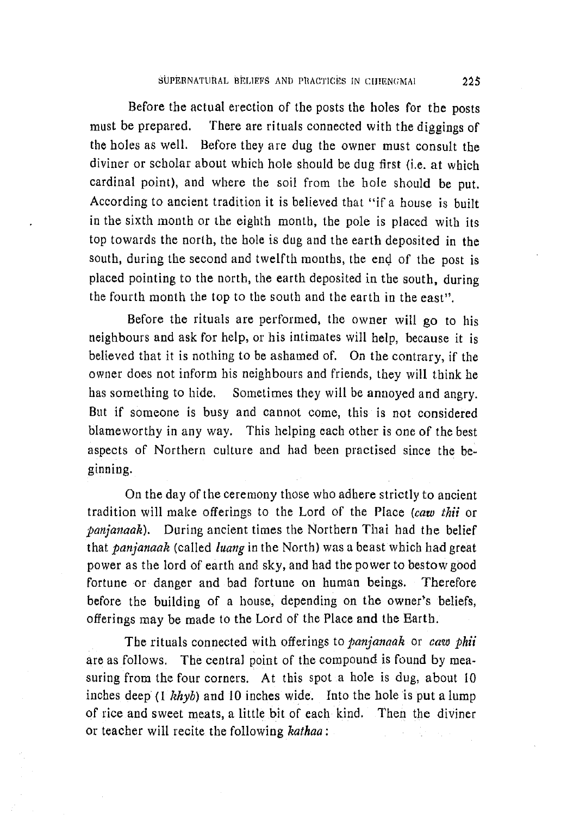Before the actual erection of the posts the holes for the posts must be prepared. There are rituals connected with the diggings of the boles as well. Before they are dug the owner must consult the diviner or scholar about which hole should be dug first (i.e. at which cardinal point), and where the soil from the hole should be put. According to ancient tradition it is believed that "if a house is built in the sixth month or the eighth month, the pole is placed with its top towards the north, the hole is dug and the earth deposited in the south, during the second and twelfth months, the end of the post is placed pointing to the north, the earth deposited in the south, during the fourth month the top to the south and the earth in the east".

Before the rituals are performed, the owner will go to his neighbours and ask for help, or his intimates will help, because it is believed that it is nothing to be ashamed of. On the contrary, if the owner does not inform his neighbours and friends, they will think he has something to hide. Sometimes they will be annoyed and angry. But if someone is busy and cannot come, this is not considered blameworthy in any way. This helping each other is one of the best aspects of Northern culture and had been practised since the beginning.

On the day of the ceremony those who adhere strictly to ancient tradition will make offerings to the Lord of the Place (caw *thii* or *panjanaak).* During ancient times the Northern Thai had the belief that *panjanaak* (called *luang* in the North) was a beast which had great power as the lord of earth and sky, and bad the power to bestow good fortune or danger and bad fortune on human beings. Therefore before the building of a house, depending on the owner's beliefs, offerings may be made to the Lord of the Place and the Earth.

The rituals connected with offerings to *panjanaak* or *caw phii*  are as follows. The central point of the compound is found by measuring from the four corners. At this spot a hole is dug, about 10 inches deep (1 *Myb)* and 10 inches wide. Into the bole is put a lump of rice and sweet meats, a little bit of each kind. Then the diviner or teacher will recite the following *kathaa:*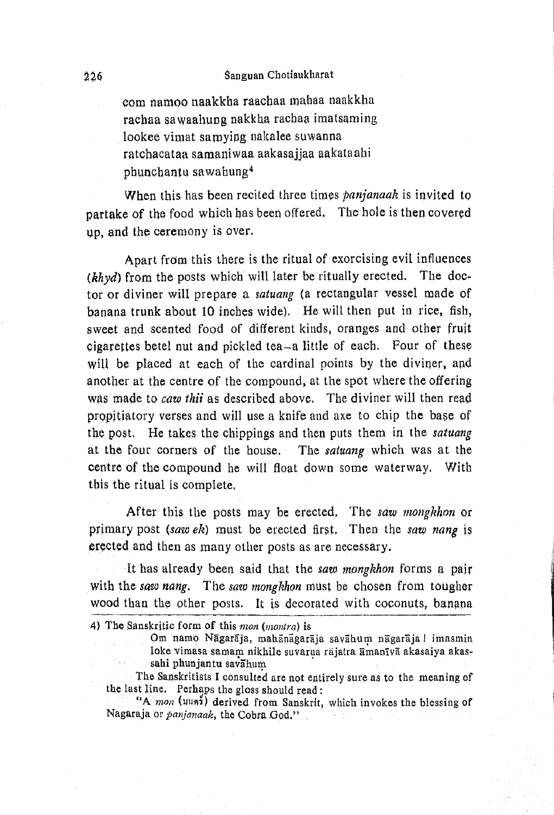com namoo naakkha raacbaa rnahaa naakkha rachaa sawaahung nakkha racbaa imatsaming lookee vimat samying nakalee suwanna ratchacataa samaniwaa aakasajjaa aakataabi pbunchantu sa wabung4

When this has been recited three times *panjanaak* is invited to partake of the food which bas been offered, The hole is then covered up, and the ceremony is over.

Apart from this there is the ritual of exorcising evil influences (khyd) from the posts which will later be ritually erected. The doctor or diviner will prepare a *satuang* (a rectangular vessel made of banana trunk about 10 inches wide). He will then put in rice, fish, sweet and scented food of different kinds, oranges and other fruit cigarettes betel nut and pickled tea-a little of each. Four of these will be placed at each of the cardinal points by the diviner, and another at the centre of the compound, at the spot where the offering was made to *caw thii* as described above. The diviner will then read propitiatory verses and will use a knife and axe to chip the base of the post. He takes the chippings and then puts them in the *satuang*  at the four corners of the house. The *satuang* which was at the centre of the compound he will float down some waterway. With this the ritual is complete.

After this the posts may be erected. The *saw mongkhon* or primary post *(saw ek)* must be erected first. Then the *saw nang* is erected and then as many other posts as are necessary.

It has already been said that the *saw mongkhon* forms a pair with the *saw nang.* The *saw monghhon* must be chosen from tougher wood than the other posts. It is decorated with coconuts, banana

4) The Sanskritic form of this mon (montra) is

Om namo Nāgarāja, mahānāgarāja savāhum nāgarāja! imasmin loke vimasa samam nikhile suvarna rajatra amaniva akasaiya akassahi phunjantu savahum

The Sanskritists I consulted are not entirely sure as to the meaning of the last line. Perhaps the gloss should read :

"A *mon* (uuni) derived from Sanskrit, which invokes the blessing of Nagaraja or *panjanaak*, the Cobra God."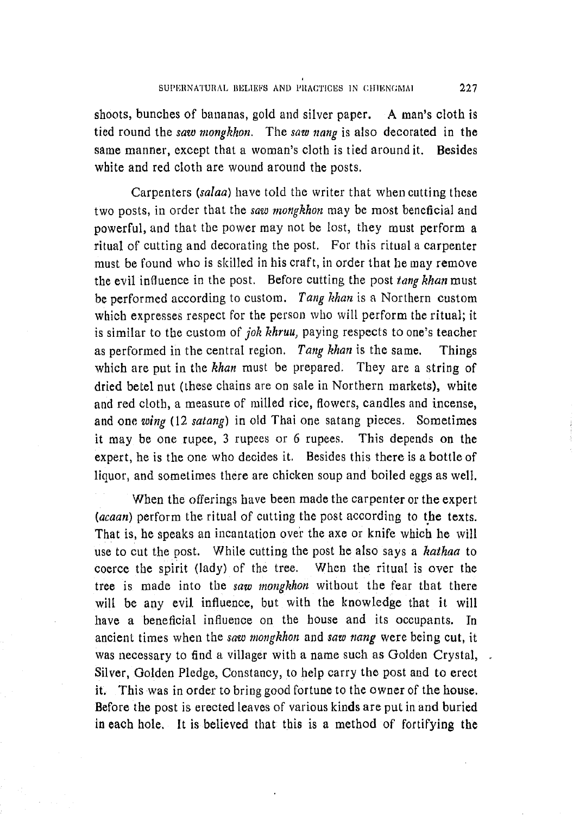shoots, bunches of bananas, gold and silver paper. A man's cloth is tied round the *saw mongkhon.* The *saw nang* is also decorated in the same manner, except that a woman's cloth is tied around it. Besides white and red cloth are wound around the posts.

Carpenters *(sa/aa)* have told the writer that when cutting these two posts, in order that the *saw mongkhon* may be most beneficial and powerful, and that the power may not be lost, they must perform a ritual of cutting and decorating the post. For this ritual a carpenter must be found who is skilled in his craft, in order that be may remove the evil influence in the post. Before cutting the post *tang khan* must be performed according to custom. *Tang khan* is a Northern custom which expresses respect for the person who will perform the ritual; it is similar to the custom of *jok khruu,* paying respects to one's teacher as performed in the central region. *Tang khan* is the same. Things which are put in the *khan* must be prepared. They are a string of dried betel nut (these chains are on sale in Northern markets), white and red cloth, a measure of milled rice, flowers, candles and incense, and one *wing* ( 12 *satang)* in old Thai one satang pieces. Sometimes it may be one rupee, 3 rupees or 6 rupees. This depends on the expert, he is the one who decides it. Besides this there is a bottle of liquor, and sometimes there are chicken soup and boiled eggs as well.

When the offerings have been made the carpenter or the expert *(acaan)* perform the ritual of cutting the post according to the texts. That is, be speaks an incantation over the axe or knife which he will use to cut the post. While cutting the post he also says a *kathaa* to coerce the spirit (lady) of the tree. When the ritual is over the tree is made into the *saw mongkhon* without the fear that there will be any evil influence, but with the knowledge that it will have a beneficial influence on the house and its occupants. In ancient times when the *saw mongkhon* and *saw nang* were being cut, it was necessary to find a villager with a name such as Golden Crystal,. Silver, Golden Pledge, Constancy, to help carry the post and to erect it. This was in order to bring good fortune to the owner of the house. Before the post is erected leaves of various kinds are put in and buried in each hole. It is believed that this is a method of fortifying the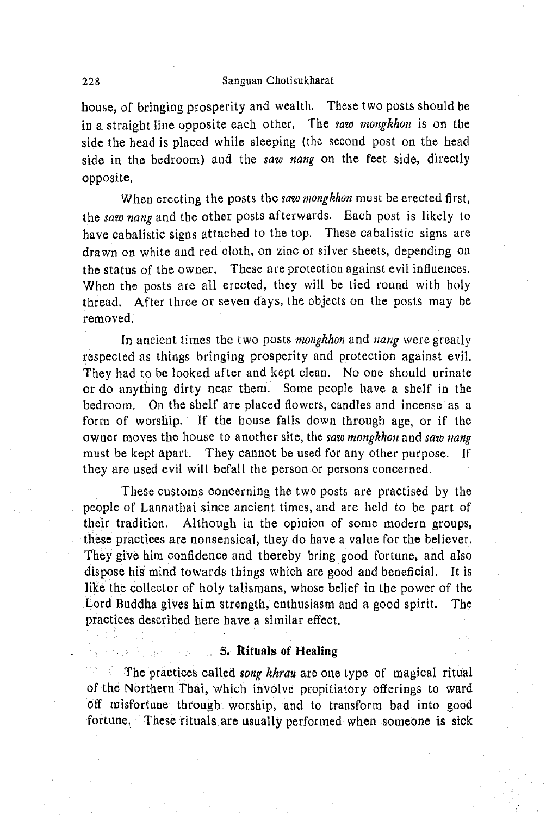house, of bringing prosperity and wealth. These two posts should be in a straight line opposite each other. The *saw mongkhon* is on the side the head is placed while sleeping (the second post on the head side in the bedroom) and the *saw nang* on the Feet side, directly opposite.

When erecting the posts the *saw mongkhon* must be erected first, the *saw nang* and the other posts afterwards. Each post is likely to have cabalistic signs attached to the top. These cabalistic signs are drawn on white and red cloth, on zinc or silver sheets, depending on the status of the owner. These are protection against evil influences. When the posts are all erected, they will be tied round with holy thread. After three or seven days, the objects on the posts may be removed.

In ancient times the two posts *mongkhon* and *nang* were greatly respected as things bringing prosperity and protection against evil. They had to be looked after and kept clean. No one should urinate or do anything dirty near them. Some people have a shelf in the bedroom. On the shelf are placed flowers, candles and incense as a form of worship. If the house falls down through age, or if the owner moves the house to another site, the *saw mongkhon* and *saw nang*  must be kept apart. They cannot be used for any other purpose. If they are used evil will befall the person or persons concerned.

These customs concerning the two posts are practised by the people of Lannathai since ancient times, and are held to be part of their tradition. Although in the opinion of some modern groups, these practices are nonsensical, they do have a value for the believer. They give him confidence and thereby bring good fortune, and also dispose his mind towards things which are good and beneficial. It is like the collector of holy talismans, whose belief in the power of the Lord Buddha gives him strength, enthusiasm and a good spirit. The practices described here have a similar effect.

### 5. **Rituals of Healing**

The practices called *song khrau* are one type of magical ritual of the Northern Thai, which involve propitiatory offerings to ward off misfortune through worship, and to transform bad into good fortune, These rituals are usually performed when someone is sick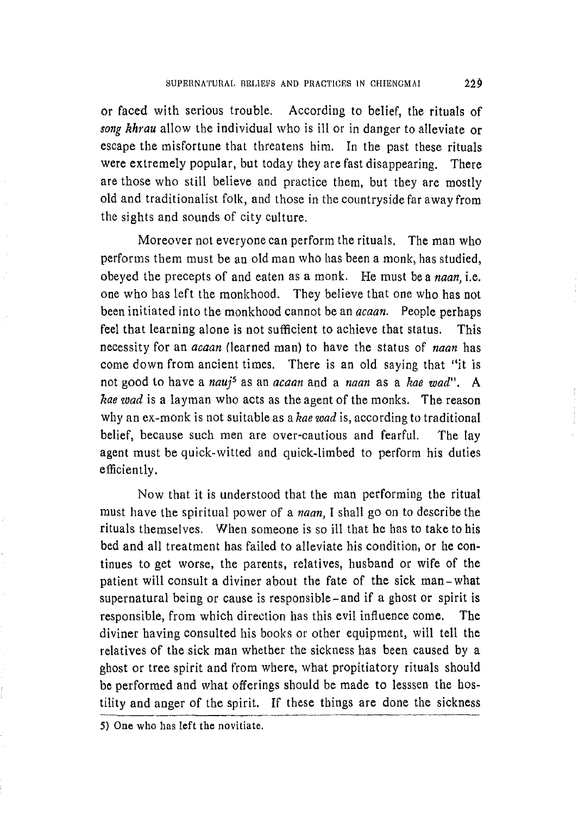or faced with serious trouble. According to belief, the rituals of *song khrau* allow the individual who is ill or in danger to alleviate or escape the misfortune that threatens him. In the past these rituals were extremely popular, but today they are fast disappearing. There are those who still believe and practice them, but they are mostly old and traditionalist folk, and those in the countryside far away from the sights and sounds of city culture.

Moreover not everyone can perform the rituals. The man who performs them must be an old man who has been a monk, has studied, obeyed the precepts of and eaten as a monk. He must be a *naan,* i.e. one who bas left the monkhood. They believe that one who has not been initiated into the monkhood cannot be an *acaan.* People perhaps feel that learning alone is not sufficient to achieve that status. This necessity for an *acaan* (learned man) to have the status of *naan* has come down from ancient times. There is an old saying that "it is not good to have a *nauj*<sup>5</sup> as an *acaan* and a *naan* as a *kae wad*". A *kae wad* is a layman who acts as the agent of the monks. The reason why an ex-monk is not suitable as a *kae wad* is, according to traditional belief, because such men are over-cautious and fearful. The lay agent must be quick-witted and quick-limbed to perform his duties efficiently.

Now that it is understood that the man performing the ritual must have the spiritual power of a *naan,* I shall go on to describe the rituals themselves. When someone is so ill that he has to take to his bed and all treatment has failed to alleviate his condition, or he continues to get worse, the parents, relatives, husband or wife of the patient will consult a diviner about the fate of the sick man-what supernatural being or cause is responsible-and if a ghost or spirit is responsible, from which direction has this evil influence come. The diviner having consulted his books or other equipment, will tell the relatives of the sick man whether the sickness bas been caused by a ghost or tree spirit and from where, what propitiatory rituals should be performed and what offerings should be made to lesssen the hostility and anger of the spirit. If these things are done the sickness

5) One who has left the novitiate.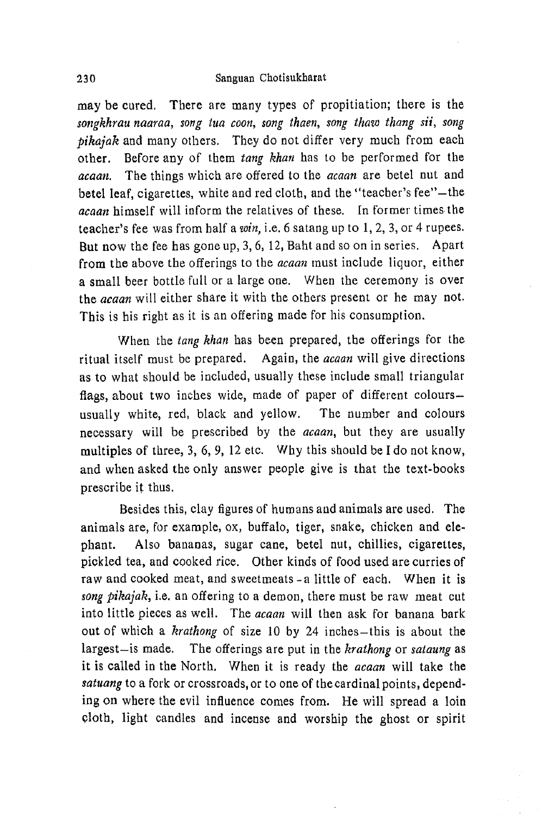## 230 Sanguan Chotisukharat

may be cured. There are many types of propitiation; there is the *songkhrau naaraa, song tua coon, song thaen, song thaw thang sii, song pikajak* and many others. They do not differ very much from each other. Before any of them *tang khan* has to be performed for the *acaan.* The things which are offered to the *acaan* are betel nut and betel leaf, cigarettes, white and red cloth, and the ''teacher's fee"-the *acaan* himself will inform the relatives of these. In former times the teacher's fee was from half a *win,* i.e. 6 satang up to 1, 2, 3, or 4 rupees. But now the fee bas gone up, 3, 6, 12, Baht and so on in series. Apart from the above the offerings to the *acaan* must include liquor, either a small beer bottle full or a large one. When the ceremony is over the *acaan* will either share it with the others present or he may not. This is his right as it is an offering made for his consumption.

When the *tang khan* has been prepared, the offerings for the ritual itself must be prepared. Again, the *acaan* will give directions as to what should be included, usually these include small triangular flags, about two inches wide, made of paper of different coloursusually white, red, black and yellow. The number and colours necessary will be prescribed by the *acaan,* but they are usually multiples of three, 3, 6, 9, 12 etc. Why this should be I do not know, and when asked the only answer people give is that the text-books prescribe it thus.

Besides this, clay figures of humans and animals are used. The animals are, for example, ox, buffalo, tiger, snake, chicken and elephant. Also bananas, sugar cane, betel nut, chillies, cigarettes, pickled tea, and cooked rice. Other kinds of food used are curries of raw and cooked meat, and sweetmeats -a little of each. When it is song pikajak, i.e. an offering to a demon, there must be raw meat cut into little pieces as well. The *acaan* will then ask for banana bark out of which a *krathong* of size 10 by 24 inches-this is about the largest-is made. The offerings are put in the *krathong* or *sataung* as it is called in the North. When it is ready the *acaan* will take the *satuang* to a fork or crossroads, or to one of the cardinal points, depending on where the evil influence comes from. He will spread a loin cloth, light candles and incense and worship the ghost or spirit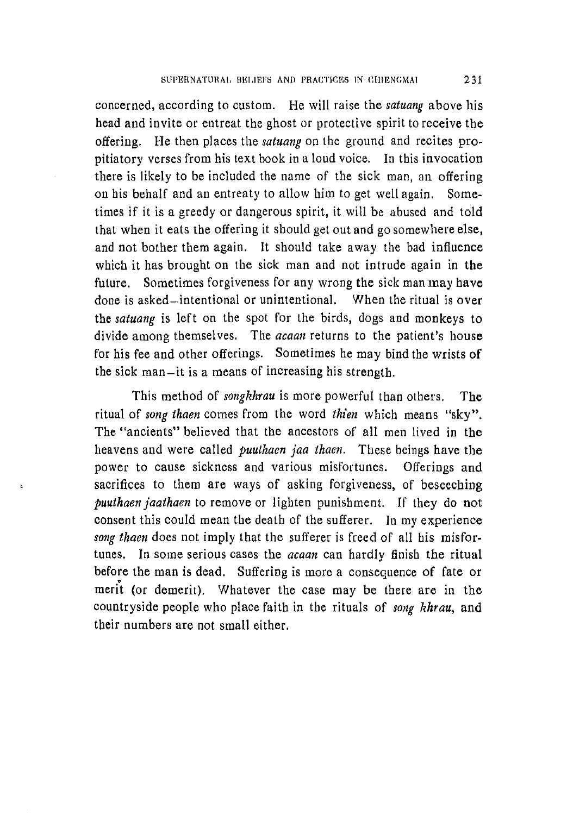concerned, according to custom. He will raise the *satuang* above his head and invite or entreat the ghost or protective spirit to receive the offering. He then places the *satuang* on the ground and recites propitiatory verses from his text book in a loud voice. In this invocation there is likely to be included the name of the sick man, an offering on his behalf and an entreaty to allow him to get well again. Sometimes if it is a greedy or dangerous spirit, it will be abused and told that when it eats the offering it should get out and go somewhere else, and not bother them again. It should take away the bad influence which it has brought on the sick man and not intrude again in the future. Sometimes forgiveness for any wrong the sick man may have done is asked-intentional or unintentional. When the ritual is over the *satuang* is left on the spot for the birds, dogs and monkeys to divide among tbemsel ves. The *acaan* returns to the patient's house for his fee and other offerings. Sometimes he may bind the wrists of the sick man-it is a means of increasing his strength.

This method of *songkhrau* is more powerful than others. The ritual of *song thaen* comes from the word *thien* which means "sky". The "ancients" believed that the ancestors of all men lived in the heavens and were called *puuthaen jaa thaen.* These beings have the power to cause sickness and various misfortunes. Offerings and sacrifices to them are ways of asking forgiveness, of beseeching *puuthaen jaathaen* to remove or lighten punishment. If they do not consent this could mean the death of the sufferer. In my experience *song thaen* does not imply that the sufferer is freed of all his misfortunes. In some serious cases the *acaan* can hardly finish the ritual before the man is dead. Suffering is more a consequence of fate or merit (or demerit). Whatever the case may be there are in the countryside people who place faith in the rituals of *song khrau,* and their numbers are not small either.